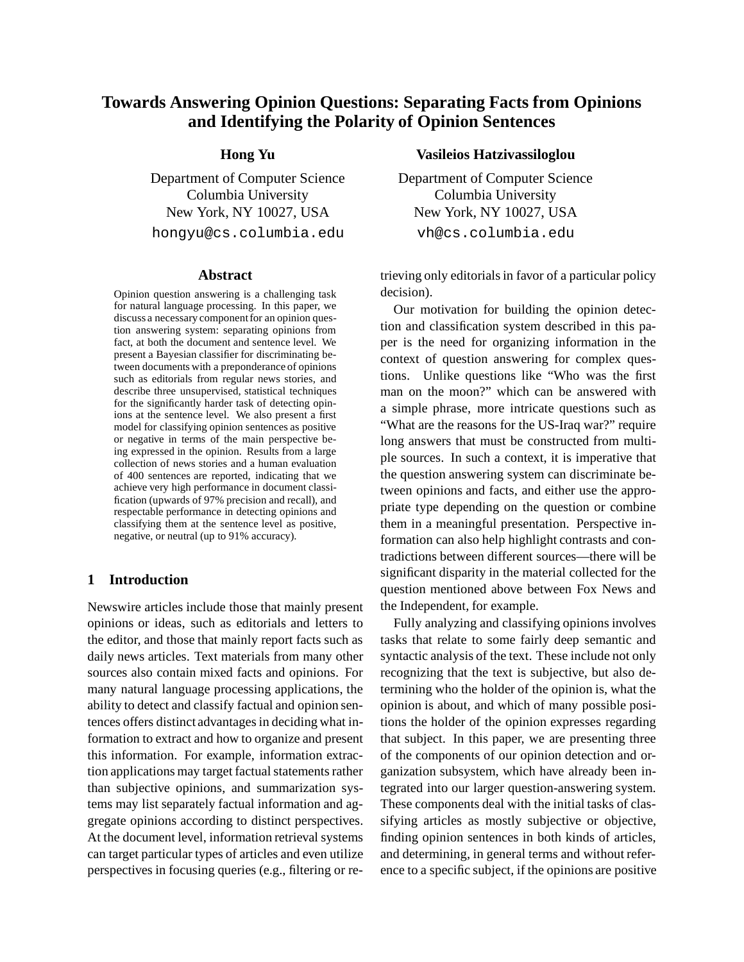# **Towards Answering Opinion Questions: Separating Facts from Opinions and Identifying the Polarity of Opinion Sentences**

## **Hong Yu**

Department of Computer Science Columbia University New York, NY 10027, USA hongyu@cs.columbia.edu

#### **Abstract**

Opinion question answering is a challenging task for natural language processing. In this paper, we discuss a necessary component for an opinion question answering system: separating opinions from fact, at both the document and sentence level. We present a Bayesian classifier for discriminating between documents with a preponderance of opinions such as editorials from regular news stories, and describe three unsupervised, statistical techniques for the significantly harder task of detecting opinions at the sentence level. We also present a first model for classifying opinion sentences as positive or negative in terms of the main perspective being expressed in the opinion. Results from a large collection of news stories and a human evaluation of 400 sentences are reported, indicating that we achieve very high performance in document classification (upwards of 97% precision and recall), and respectable performance in detecting opinions and classifying them at the sentence level as positive, negative, or neutral (up to 91% accuracy).

# **1 Introduction**

Newswire articles include those that mainly present opinions or ideas, such as editorials and letters to the editor, and those that mainly report facts such as daily news articles. Text materials from many other sources also contain mixed facts and opinions. For many natural language processing applications, the ability to detect and classify factual and opinion sentences offers distinct advantages in deciding what information to extract and how to organize and present this information. For example, information extraction applications may target factual statements rather than subjective opinions, and summarization systems may list separately factual information and aggregate opinions according to distinct perspectives. At the document level, information retrieval systems can target particular types of articles and even utilize perspectives in focusing queries (e.g., filtering or re-

## **Vasileios Hatzivassiloglou**

Department of Computer Science Columbia University New York, NY 10027, USA vh@cs.columbia.edu

trieving only editorialsin favor of a particular policy decision).

Our motivation for building the opinion detection and classification system described in this paper is the need for organizing information in the context of question answering for complex questions. Unlike questions like "Who was the first man on the moon?" which can be answered with a simple phrase, more intricate questions such as "What are the reasons for the US-Iraq war?" require long answers that must be constructed from multiple sources. In such a context, it is imperative that the question answering system can discriminate between opinions and facts, and either use the appropriate type depending on the question or combine them in a meaningful presentation. Perspective information can also help highlight contrasts and contradictions between different sources—there will be significant disparity in the material collected for the question mentioned above between Fox News and the Independent, for example.

Fully analyzing and classifying opinionsinvolves tasks that relate to some fairly deep semantic and syntactic analysis of the text. These include not only recognizing that the text is subjective, but also determining who the holder of the opinion is, what the opinion is about, and which of many possible positions the holder of the opinion expresses regarding that subject. In this paper, we are presenting three of the components of our opinion detection and organization subsystem, which have already been integrated into our larger question-answering system. These components deal with the initial tasks of classifying articles as mostly subjective or objective, finding opinion sentences in both kinds of articles, and determining, in general terms and without reference to a specific subject, if the opinions are positive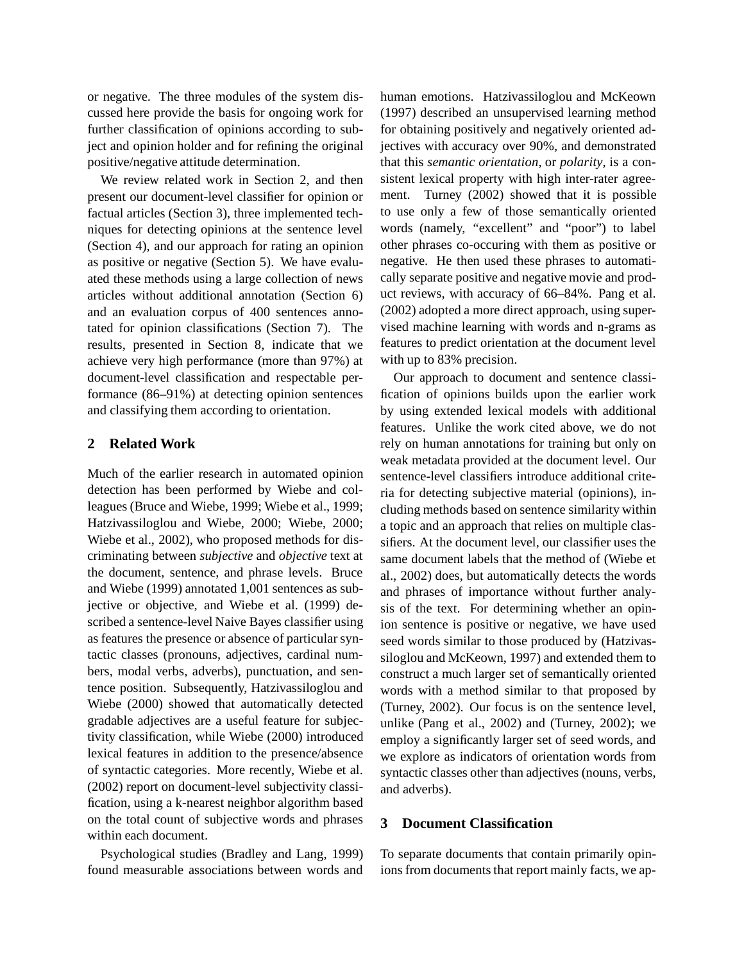or negative. The three modules of the system discussed here provide the basis for ongoing work for further classification of opinions according to subject and opinion holder and for refining the original positive/negative attitude determination.

We review related work in Section 2, and then present our document-level classifier for opinion or factual articles (Section 3), three implemented techniques for detecting opinions at the sentence level (Section 4), and our approach for rating an opinion as positive or negative (Section 5). We have evaluated these methods using a large collection of news articles without additional annotation (Section 6) and an evaluation corpus of 400 sentences annotated for opinion classifications (Section 7). The results, presented in Section 8, indicate that we achieve very high performance (more than 97%) at document-level classification and respectable performance (86–91%) at detecting opinion sentences and classifying them according to orientation.

# **2 Related Work**

Much of the earlier research in automated opinion detection has been performed by Wiebe and colleagues(Bruce and Wiebe, 1999; Wiebe et al., 1999; Hatzivassiloglou and Wiebe, 2000; Wiebe, 2000; Wiebe et al., 2002), who proposed methods for discriminating between *subjective* and *objective* text at the document, sentence, and phrase levels. Bruce and Wiebe (1999) annotated 1,001 sentences as subjective or objective, and Wiebe et al. (1999) described a sentence-level Naive Bayes classifier using as features the presence or absence of particular syntactic classes (pronouns, adjectives, cardinal numbers, modal verbs, adverbs), punctuation, and sentence position. Subsequently, Hatzivassiloglou and Wiebe (2000) showed that automatically detected gradable adjectives are a useful feature for subjectivity classification, while Wiebe (2000) introduced lexical features in addition to the presence/absence of syntactic categories. More recently, Wiebe et al. (2002) report on document-level subjectivity classification, using a k-nearest neighbor algorithm based on the total count of subjective words and phrases within each document.

Psychological studies (Bradley and Lang, 1999) found measurable associations between words and human emotions. Hatzivassiloglou and McKeown (1997) described an unsupervised learning method for obtaining positively and negatively oriented adjectives with accuracy over 90%, and demonstrated that this *semantic orientation*, or *polarity*, is a consistent lexical property with high inter-rater agreement. Turney (2002) showed that it is possible to use only a few of those semantically oriented words (namely, "excellent" and "poor") to label other phrases co-occuring with them as positive or negative. He then used these phrases to automatically separate positive and negative movie and product reviews, with accuracy of 66–84%. Pang et al. (2002) adopted a more direct approach, using supervised machine learning with words and n-grams as features to predict orientation at the document level with up to 83% precision.

Our approach to document and sentence classification of opinions builds upon the earlier work by using extended lexical models with additional features. Unlike the work cited above, we do not rely on human annotations for training but only on weak metadata provided at the document level. Our sentence-level classifiers introduce additional criteria for detecting subjective material (opinions), including methods based on sentence similarity within a topic and an approach that relies on multiple classifiers. At the document level, our classifier uses the same document labels that the method of (Wiebe et al., 2002) does, but automatically detects the words and phrases of importance without further analysis of the text. For determining whether an opinion sentence is positive or negative, we have used seed words similar to those produced by (Hatzivassiloglou and McKeown, 1997) and extended them to construct a much larger set of semantically oriented words with a method similar to that proposed by (Turney, 2002). Our focus is on the sentence level, unlike (Pang et al., 2002) and (Turney, 2002); we employ a significantly larger set of seed words, and we explore as indicators of orientation words from syntactic classes other than adjectives (nouns, verbs, and adverbs).

## **3 Document Classification**

To separate documents that contain primarily opinions from documents that report mainly facts, we ap-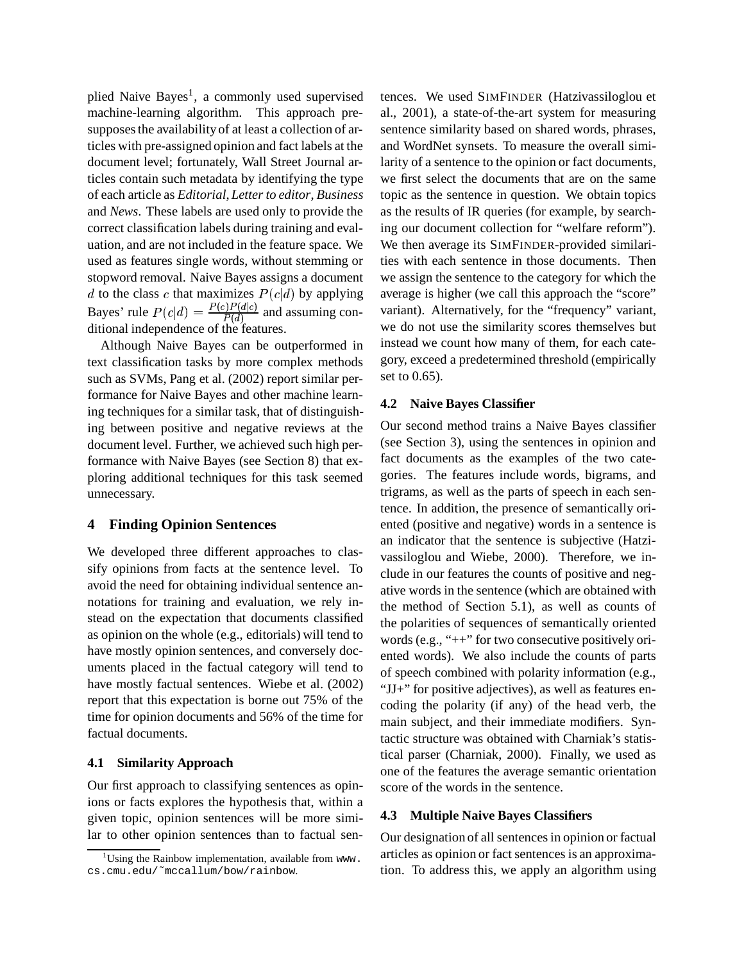plied Naive Bayes<sup>1</sup>, a commonly used supervised machine-learning algorithm. This approach presupposes the availability of at least a collection of articles with pre-assigned opinion and fact labels at the document level; fortunately, Wall Street Journal articles contain such metadata by identifying the type of each article as *Editorial*, *Letterto editor*, *Business* and *News*. These labels are used only to provide the correct classification labels during training and evaluation, and are not included in the feature space. We used as features single words, without stemming or stopword removal. Naive Bayes assigns a document d to the class c that maximizes  $P(c|d)$  by applying Bayes' rule  $P(c|d) = \frac{P(c)P(a|c)}{P(d)}$  and assuming conditional independence of the features.

Although Naive Bayes can be outperformed in text classification tasks by more complex methods such as SVMs, Pang et al. (2002) report similar performance for Naive Bayes and other machine learning techniques for a similar task, that of distinguishing between positive and negative reviews at the document level. Further, we achieved such high performance with Naive Bayes (see Section 8) that exploring additional techniques for this task seemed unnecessary.

# **4 Finding Opinion Sentences**

We developed three different approaches to classify opinions from facts at the sentence level. To avoid the need for obtaining individual sentence annotations for training and evaluation, we rely instead on the expectation that documents classified as opinion on the whole (e.g., editorials) will tend to have mostly opinion sentences, and conversely documents placed in the factual category will tend to have mostly factual sentences. Wiebe et al. (2002) report that this expectation is borne out 75% of the time for opinion documents and 56% of the time for factual documents.

#### **4.1 Similarity Approach**

Our first approach to classifying sentences as opinions or facts explores the hypothesis that, within a given topic, opinion sentences will be more similar to other opinion sentences than to factual sentences. We used SIMFINDER (Hatzivassiloglou et al., 2001), a state-of-the-art system for measuring sentence similarity based on shared words, phrases, and WordNet synsets. To measure the overall similarity of a sentence to the opinion or fact documents, we first select the documents that are on the same topic as the sentence in question. We obtain topics as the results of IR queries (for example, by searching our document collection for "welfare reform"). We then average its SIMFINDER-provided similarities with each sentence in those documents. Then we assign the sentence to the category for which the average is higher (we call this approach the "score" variant). Alternatively, for the "frequency" variant, we do not use the similarity scores themselves but instead we count how many of them, for each category, exceed a predetermined threshold (empirically set to 0.65).

#### **4.2 Naive Bayes Classifier**

Our second method trains a Naive Bayes classifier (see Section 3), using the sentences in opinion and fact documents as the examples of the two categories. The features include words, bigrams, and trigrams, as well as the parts of speech in each sentence. In addition, the presence of semantically oriented (positive and negative) words in a sentence is an indicator that the sentence is subjective (Hatzivassiloglou and Wiebe, 2000). Therefore, we include in our features the counts of positive and negative wordsin the sentence (which are obtained with the method of Section 5.1), as well as counts of the polarities of sequences of semantically oriented words(e.g., "++" for two consecutive positively oriented words). We also include the counts of parts of speech combined with polarity information (e.g., "JJ+" for positive adjectives), as well as features encoding the polarity (if any) of the head verb, the main subject, and their immediate modifiers. Syntactic structure was obtained with Charniak's statistical parser (Charniak, 2000). Finally, we used as one of the features the average semantic orientation score of the words in the sentence.

## **4.3 Multiple Naive Bayes Classifiers**

Our designation of all sentencesin opinion or factual articles as opinion or fact sentences is an approximation. To address this, we apply an algorithm using

<sup>&</sup>lt;sup>1</sup>Using the Rainbow implementation, available from www. cs.cmu.edu/˜mccallum/bow/rainbow.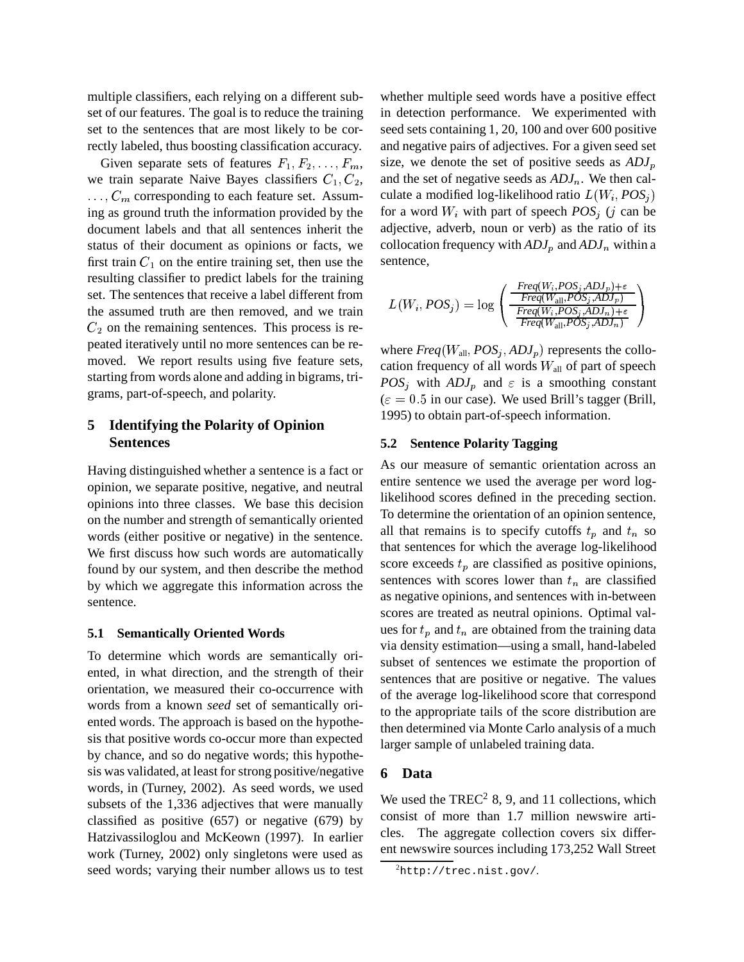multiple classifiers, each relying on a different subset of our features. The goal is to reduce the training set to the sentences that are most likely to be correctly labeled, thus boosting classification accuracy.

Given separate sets of features  $F_1, F_2, \ldots$ we train separate Naive Bayes classifiers  $C_1, C_2,$  $\ldots$ ,  $C_m$  corresponding to each feature set. Assuming as ground truth the information provided by the document labels and that all sentences inherit the status of their document as opinions or facts, we first train  $C_1$  on the entire training set, then use the resulting classifier to predict labels for the training set. The sentences that receive a label different from the assumed truth are then removed, and we train  $C_2$  on the remaining sentences. This process is repeated iteratively until no more sentences can be removed. We report results using five feature sets, starting from words alone and adding in bigrams, trigrams, part-of-speech, and polarity.

# **5 Identifying the Polarity of Opinion Sentences**

Having distinguished whether a sentence is a fact or opinion, we separate positive, negative, and neutral opinions into three classes. We base this decision on the number and strength of semantically oriented words (either positive or negative) in the sentence. We first discuss how such words are automatically found by our system, and then describe the method by which we aggregate this information across the sentence.

#### **5.1 Semantically Oriented Words**

To determine which words are semantically oriented, in what direction, and the strength of their orientation, we measured their co-occurrence with words from a known *seed* set of semantically oriented words. The approach is based on the hypothesis that positive words co-occur more than expected by chance, and so do negative words; this hypothesis was validated, at least for strong positive/negative words, in (Turney, 2002). As seed words, we used subsets of the 1,336 adjectives that were manually classified as positive (657) or negative (679) by Hatzivassiloglou and McKeown (1997). In earlier work (Turney, 2002) only singletons were used as seed words; varying their number allows us to test

 $F_m$ , size, we denote the set of positive seeds as  $ADJ_p$ whether multiple seed words have a positive effect in detection performance. We experimented with seed sets containing 1, 20, 100 and over 600 positive and negative pairs of adjectives. For a given seed set and the set of negative seeds as  $ADJ_n$ . We then calculate a modified log-likelihood ratio  $L(W_i, POS_j)$ for a word  $W_i$  with part of speech  $POS_i$  (*j* can be adjective, adverb, noun or verb) as the ratio of its collocation frequency with  $ADJ_p$  and  $ADJ_n$  within a sentence,

$$
L(W_i, POS_j) = \text{log} \left( \frac{\frac{Freq(W_i, POS_j, ADJ_p) + \varepsilon}{Freq(W_{\text{all}},POS_j,ADJ_p)}}{\frac{Freq(W_i,POS_j,ADJ_n) + \varepsilon}{Freq(W_{\text{all}},POS_j,ADJ_n)}} \right)
$$

where  $Freq(W_{all}, POS_j, ADJ_p)$  represents the collocation frequency of all words  $W_{all}$  of part of speech *POS<sub>i</sub>* with  $ADJ_p$  and  $\varepsilon$  is a smoothing constant  $(\varepsilon = 0.5$  in our case). We used Brill's tagger (Brill, 1995) to obtain part-of-speech information.

#### **5.2 Sentence Polarity Tagging**

As our measure of semantic orientation across an entire sentence we used the average per word loglikelihood scores defined in the preceding section. To determine the orientation of an opinion sentence, all that remains is to specify cutoffs  $t_p$  and  $t_n$  so that sentences for which the average log-likelihood score exceeds  $t_p$  are classified as positive opinions, sentences with scores lower than  $t_n$  are classified as negative opinions, and sentences with in-between scores are treated as neutral opinions. Optimal values for  $t_p$  and  $t_n$  are obtained from the training data via density estimation—using a small, hand-labeled subset of sentences we estimate the proportion of sentences that are positive or negative. The values of the average log-likelihood score that correspond to the appropriate tails of the score distribution are then determined via Monte Carlo analysis of a much larger sample of unlabeled training data.

#### **6 Data**

We used the  $TREC^2$  8, 9, and 11 collections, which consist of more than 1.7 million newswire articles. The aggregate collection covers six different newswire sources including 173,252 Wall Street

 ${}^{2}$ http://trec.nist.gov/.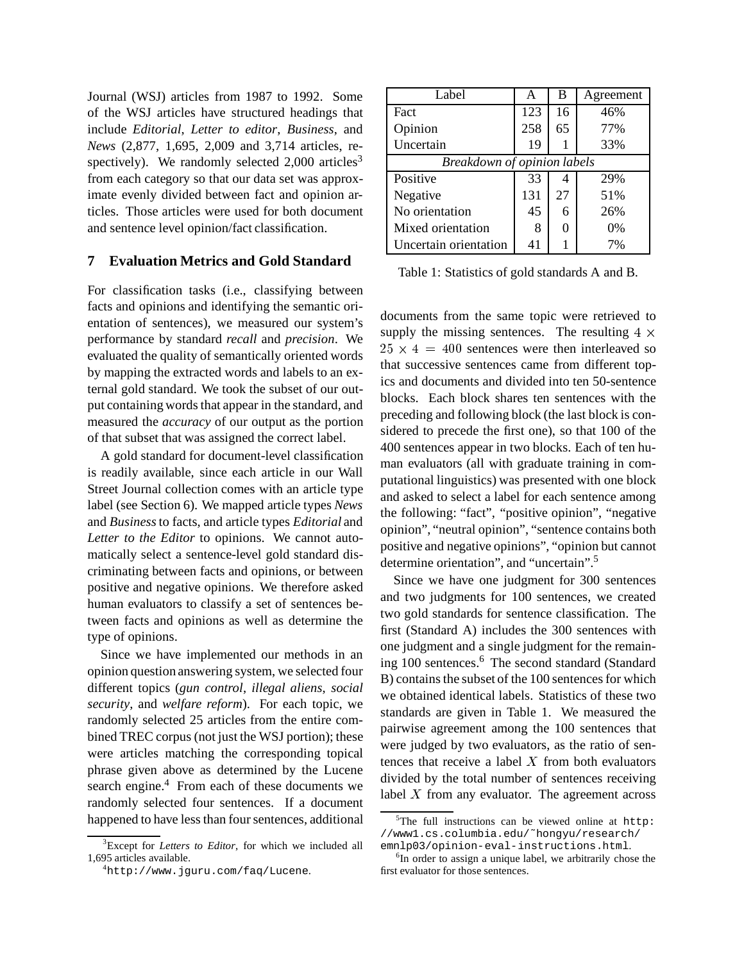Journal (WSJ) articles from 1987 to 1992. Some of the WSJ articles have structured headings that include *Editorial*, *Letter to editor*, *Business*, and *News* (2,877, 1,695, 2,009 and 3,714 articles, respectively). We randomly selected  $2,000$  articles<sup>3</sup> from each category so that our data set was approximate evenly divided between fact and opinion articles. Those articles were used for both document and sentence level opinion/fact classification.

# **7 Evaluation Metrics and Gold Standard**

For classification tasks (i.e., classifying between facts and opinions and identifying the semantic orientation of sentences), we measured our system's performance by standard *recall* and *precision*. We evaluated the quality of semantically oriented words by mapping the extracted words and labels to an external gold standard. We took the subset of our output containing words that appear in the standard, and measured the *accuracy* of our output as the portion of that subset that was assigned the correct label.

A gold standard for document-level classification is readily available, since each article in our Wall Street Journal collection comes with an article type label (see Section 6). We mapped article types *News* and *Business*to facts, and article types *Editorial* and *Letter to the Editor* to opinions. We cannot automatically select a sentence-level gold standard discriminating between facts and opinions, or between positive and negative opinions. We therefore asked human evaluators to classify a set of sentences between facts and opinions as well as determine the type of opinions.

Since we have implemented our methods in an opinion question answering system, we selected four different topics (*gun control*, *illegal aliens*, *social security*, and *welfare reform*). For each topic, we randomly selected 25 articles from the entire combined TREC corpus (not just the WSJ portion); these were articles matching the corresponding topical phrase given above as determined by the Lucene search engine.<sup>4</sup> From each of these documents we randomly selected four sentences. If a document happened to have less than four sentences, additional

| Label                       | A   | В  | Agreement |  |  |  |
|-----------------------------|-----|----|-----------|--|--|--|
| Fact                        | 123 | 16 | 46%       |  |  |  |
| Opinion                     | 258 | 65 | 77%       |  |  |  |
| Uncertain                   | 19  |    | 33%       |  |  |  |
| Breakdown of opinion labels |     |    |           |  |  |  |
| Positive                    | 33  |    | 29%       |  |  |  |
| Negative                    | 131 | 27 | 51%       |  |  |  |
| No orientation              | 45  | 6  | 26%       |  |  |  |
| Mixed orientation           | 8   |    | 0%        |  |  |  |
| Uncertain orientation       | 41  |    | 7%        |  |  |  |

Table 1: Statistics of gold standards A and B.

documents from the same topic were retrieved to supply the missing sentences. The resulting  $4 \times$  $25 \times 4 = 400$  sentences were then interleaved so that successive sentences came from different topics and documents and divided into ten 50-sentence blocks. Each block shares ten sentences with the preceding and following block (the last block is considered to precede the first one), so that 100 of the 400 sentences appear in two blocks. Each of ten human evaluators (all with graduate training in computational linguistics) was presented with one block and asked to select a label for each sentence among the following: "fact", "positive opinion", "negative opinion", "neutral opinion", "sentence contains both positive and negative opinions", "opinion but cannot determine orientation", and "uncertain".<sup>5</sup>

Since we have one judgment for 300 sentences and two judgments for 100 sentences, we created two gold standards for sentence classification. The first (Standard A) includes the 300 sentences with one judgment and a single judgment for the remaining 100 sentences.<sup>6</sup> The second standard (Standard B) contains the subset of the 100 sentences for which we obtained identical labels. Statistics of these two standards are given in Table 1. We measured the pairwise agreement among the 100 sentences that were judged by two evaluators, as the ratio of sentences that receive a label  $X$  from both evaluators divided by the total number of sentences receiving label  $X$  from any evaluator. The agreement across

<sup>3</sup>Except for *Letters to Editor*, for which we included all 1,695 articles available.

<sup>4</sup>http://www.jguru.com/faq/Lucene.

<sup>&</sup>lt;sup>5</sup>The full instructions can be viewed online at http: //www1.cs.columbia.edu/˜hongyu/research/ emnlp03/opinion-eval-instructions.html.

<sup>&</sup>lt;sup>6</sup>In order to assign a unique label, we arbitrarily chose the first evaluator for those sentences.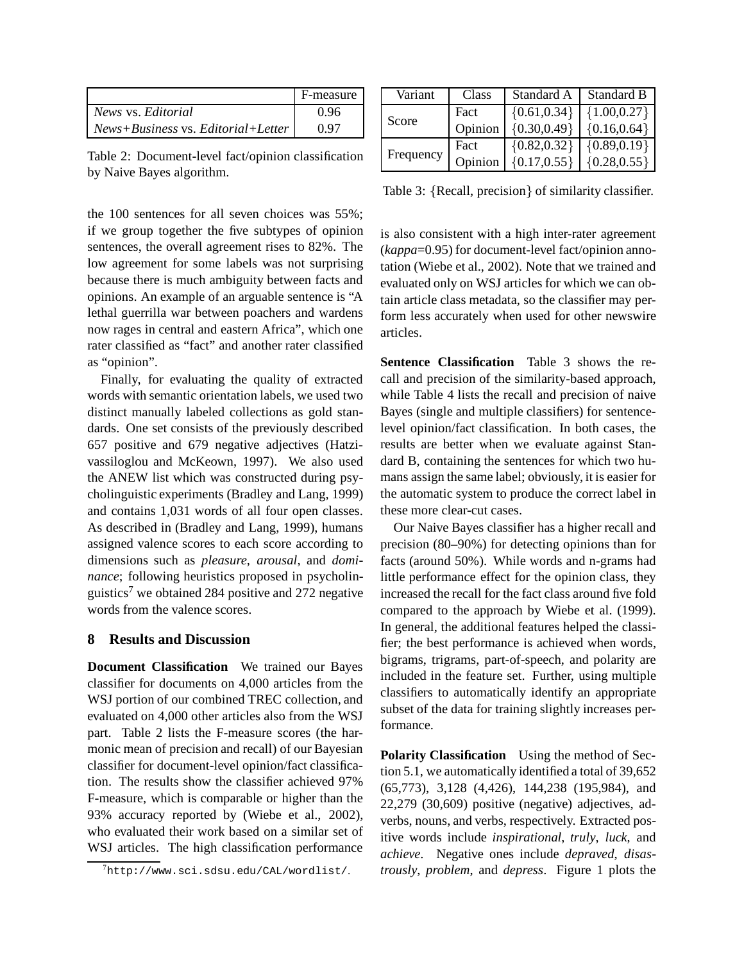|                                      | F-measure |
|--------------------------------------|-----------|
| News vs. Editorial                   | 0.96      |
| $News+Business$ vs. Editorial+Letter | 0 97      |

Table 2: Document-level fact/opinion classification by Naive Bayes algorithm.

the 100 sentences for all seven choices was 55%; if we group together the five subtypes of opinion sentences, the overall agreement rises to 82%. The low agreement for some labels was not surprising because there is much ambiguity between facts and opinions. An example of an arguable sentence is "A lethal guerrilla war between poachers and wardens now rages in central and eastern Africa", which one rater classified as "fact" and another rater classified as "opinion".

Finally, for evaluating the quality of extracted words with semantic orientation labels, we used two distinct manually labeled collections as gold standards. One set consists of the previously described 657 positive and 679 negative adjectives (Hatzivassiloglou and McKeown, 1997). We also used the ANEW list which was constructed during psycholinguistic experiments (Bradley and Lang, 1999) and contains 1,031 words of all four open classes. As described in (Bradley and Lang, 1999), humans assigned valence scores to each score according to dimensions such as *pleasure*, *arousal*, and *dominance*; following heuristics proposed in psycholinguistics<sup>7</sup> we obtained 284 positive and 272 negative words from the valence scores.

# **8 Results and Discussion**

**Document Classification** We trained our Bayes classifier for documents on 4,000 articles from the WSJ portion of our combined TREC collection, and evaluated on 4,000 other articles also from the WSJ part. Table 2 lists the F-measure scores (the harmonic mean of precision and recall) of our Bayesian classifier for document-level opinion/fact classification. The results show the classifier achieved 97% F-measure, which is comparable or higher than the 93% accuracy reported by (Wiebe et al., 2002), who evaluated their work based on a similar set of WSJ articles. The high classification performance

| Variant   | Class   | Standard A     | Standard B     |
|-----------|---------|----------------|----------------|
|           | Fact    | ${0.61, 0.34}$ | ${1.00, 0.27}$ |
| Score     | Opinion | ${0.30, 0.49}$ | ${0.16, 0.64}$ |
|           | Fact    | ${0.82, 0.32}$ | ${0.89, 0.19}$ |
| Frequency | Opinion | ${0.17, 0.55}$ | ${0.28, 0.55}$ |

Table 3:  ${Recall, precision}$  of similarity classifier.

is also consistent with a high inter-rater agreement (*kappa*=0.95) for document-level fact/opinion annotation (Wiebe et al., 2002). Note that we trained and evaluated only on WSJ articles for which we can obtain article class metadata, so the classifier may perform less accurately when used for other newswire articles.

**Sentence Classification** Table 3 shows the recall and precision of the similarity-based approach, while Table 4 lists the recall and precision of naive Bayes (single and multiple classifiers) for sentencelevel opinion/fact classification. In both cases, the results are better when we evaluate against Standard B, containing the sentences for which two humans assign the same label; obviously, it is easier for the automatic system to produce the correct label in these more clear-cut cases.

Our Naive Bayes classifier has a higher recall and precision (80–90%) for detecting opinions than for facts (around 50%). While words and n-grams had little performance effect for the opinion class, they increased the recall for the fact class around five fold compared to the approach by Wiebe et al. (1999). In general, the additional features helped the classifier; the best performance is achieved when words, bigrams, trigrams, part-of-speech, and polarity are included in the feature set. Further, using multiple classifiers to automatically identify an appropriate subset of the data for training slightly increases performance.

**Polarity Classification** Using the method of Section 5.1, we automatically identified a total of 39,652 (65,773), 3,128 (4,426), 144,238 (195,984), and 22,279 (30,609) positive (negative) adjectives, adverbs, nouns, and verbs, respectively. Extracted positive words include *inspirational*, *truly*, *luck*, and *achieve*. Negative ones include *depraved*, *disastrously*, *problem*, and *depress*. Figure 1 plots the

 $^{7}$ http://www.sci.sdsu.edu/CAL/wordlist/.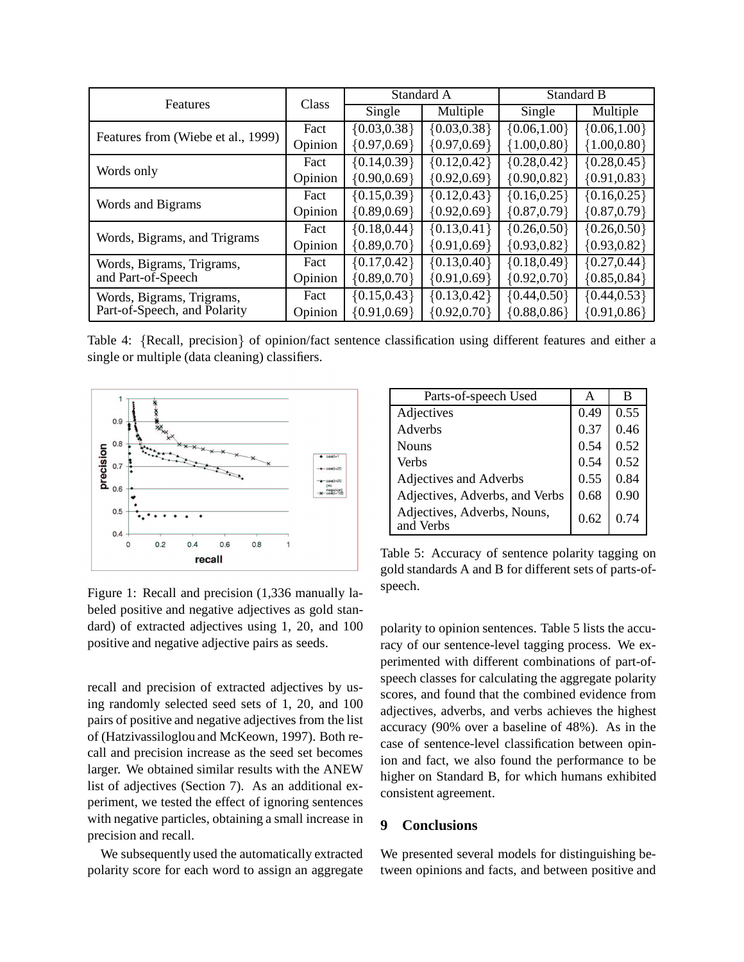| <b>Features</b>                                 | Class   | Standard A       |                  | Standard B       |                  |
|-------------------------------------------------|---------|------------------|------------------|------------------|------------------|
|                                                 |         | Single           | Multiple         | Single           | Multiple         |
| Features from (Wiebe et al., 1999)              | Fact    | ${0.03, 0.38}$   | ${0.03, 0.38}$   | ${0.06, 1.00}$   | $\{0.06, 1.00\}$ |
|                                                 | Opinion | ${0.97, 0.69}$   | ${0.97, 0.69}$   | $\{1.00, 0.80\}$ | ${1.00, 0.80}$   |
|                                                 | Fact    | ${0.14, 0.39}$   | ${0.12, 0.42}$   | ${0.28, 0.42}$   | ${0.28, 0.45}$   |
| Words only                                      | Opinion | ${0.90, 0.69}$   | ${0.92, 0.69}$   | ${0.90, 0.82}$   | ${0.91, 0.83}$   |
| Words and Bigrams                               | Fact    | ${0.15, 0.39}$   | ${0.12, 0.43}$   | ${0.16, 0.25}$   | ${0.16, 0.25}$   |
|                                                 | Opinion | ${0.89, 0.69}$   | ${0.92, 0.69}$   | ${0.87, 0.79}$   | ${0.87, 0.79}$   |
| Words, Bigrams, and Trigrams                    | Fact    | ${0.18, 0.44}$   | $\{0.13, 0.41\}$ | ${0.26, 0.50}$   | ${0.26, 0.50}$   |
|                                                 | Opinion | ${0.89, 0.70}$   | ${0.91, 0.69}$   | ${0.93, 0.82}$   | ${0.93, 0.82}$   |
| Words, Bigrams, Trigrams,<br>and Part-of-Speech | Fact    | $\{0.17, 0.42\}$ | $\{0.13, 0.40\}$ | ${0.18, 0.49}$   | ${0.27, 0.44}$   |
|                                                 | Opinion | ${0.89, 0.70}$   | ${0.91, 0.69}$   | ${0.92, 0.70}$   | ${0.85, 0.84}$   |
| Words, Bigrams, Trigrams,                       | Fact    | ${0.15, 0.43}$   | $\{0.13, 0.42\}$ | ${0.44, 0.50}$   | ${0.44, 0.53}$   |
| Part-of-Speech, and Polarity                    | Opinion | ${0.91, 0.69}$   | ${0.92, 0.70}$   | ${0.88, 0.86}$   | ${0.91, 0.86}$   |

Table 4: {Recall, precision} of opinion/fact sentence classification using different features and either a single or multiple (data cleaning) classifiers.



Figure 1: Recall and precision (1,336 manually labeled positive and negative adjectives as gold standard) of extracted adjectives using 1, 20, and 100 positive and negative adjective pairs as seeds.

recall and precision of extracted adjectives by using randomly selected seed sets of 1, 20, and 100 pairs of positive and negative adjectives from the list of (Hatzivassiloglou and McKeown, 1997). Both recall and precision increase as the seed set becomes larger. We obtained similar results with the ANEW list of adjectives (Section 7). As an additional experiment, we tested the effect of ignoring sentences with negative particles, obtaining a small increase in precision and recall.

We subsequently used the automatically extracted polarity score for each word to assign an aggregate

| Parts-of-speech Used                     | А    | B    |
|------------------------------------------|------|------|
| Adjectives                               | 0.49 | 0.55 |
| Adverbs                                  | 0.37 | 0.46 |
| <b>Nouns</b>                             | 0.54 | 0.52 |
| Verbs                                    | 0.54 | 0.52 |
| Adjectives and Adverbs                   | 0.55 | 0.84 |
| Adjectives, Adverbs, and Verbs           | 0.68 | 0.90 |
| Adjectives, Adverbs, Nouns,<br>and Verbs | 0.62 | O 74 |

Table 5: Accuracy of sentence polarity tagging on gold standards A and B for different sets of parts-ofspeech.

polarity to opinion sentences. Table 5 lists the accuracy of our sentence-level tagging process. We experimented with different combinations of part-ofspeech classes for calculating the aggregate polarity scores, and found that the combined evidence from adjectives, adverbs, and verbs achieves the highest accuracy (90% over a baseline of 48%). As in the case of sentence-level classification between opinion and fact, we also found the performance to be higher on Standard B, for which humans exhibited consistent agreement.

# **9 Conclusions**

We presented several models for distinguishing between opinions and facts, and between positive and